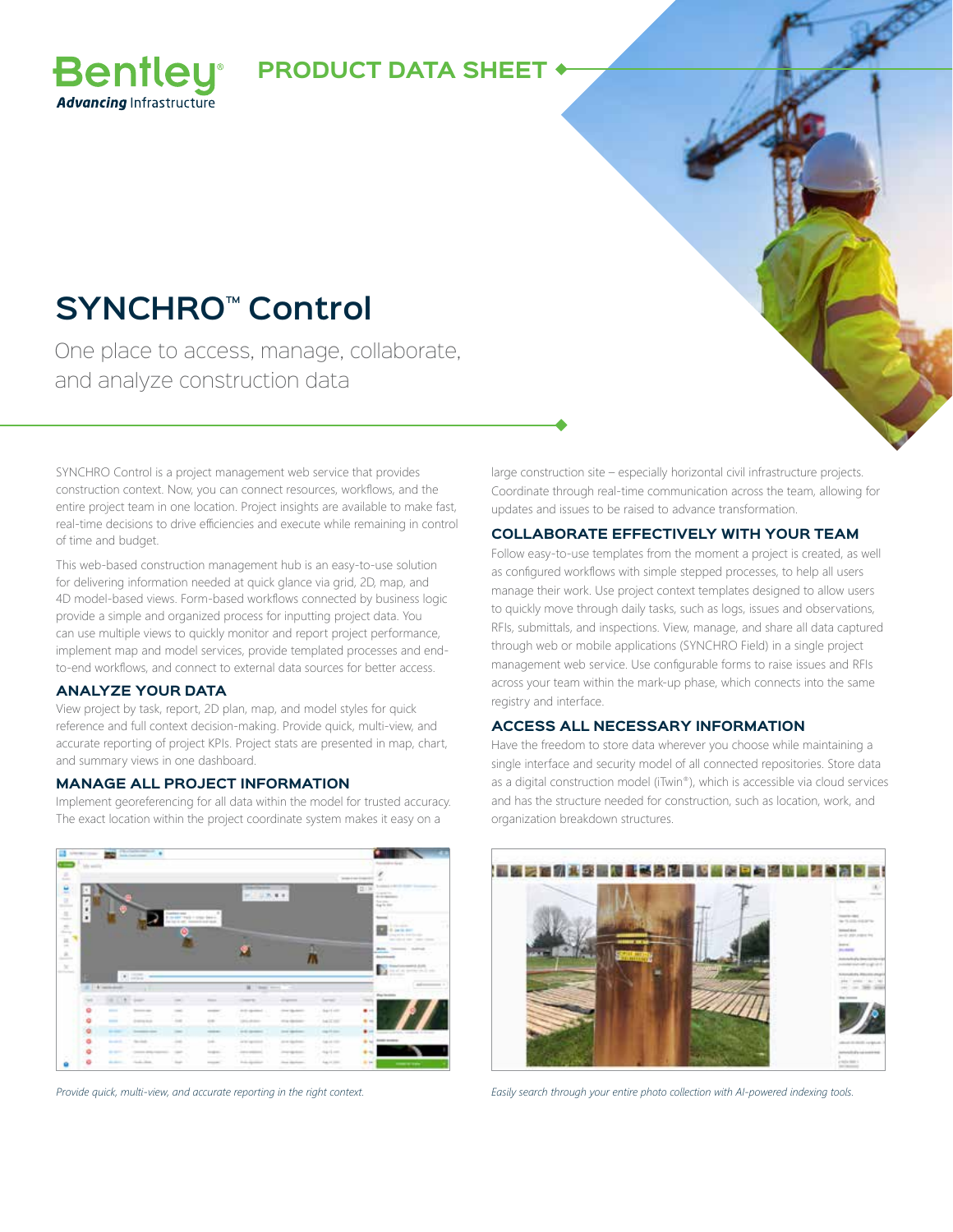### **PRODUCT DATA SHEET**

## **SYNCHRO™ Control**

**Bentley Advancing Infrastructure** 

One place to access, manage, collaborate, and analyze construction data

SYNCHRO Control is a project management web service that provides construction context. Now, you can connect resources, workflows, and the entire project team in one location. Project insights are available to make fast, real-time decisions to drive efficiencies and execute while remaining in control of time and budget.

This web-based construction management hub is an easy-to-use solution for delivering information needed at quick glance via grid, 2D, map, and 4D model-based views. Form-based workflows connected by business logic provide a simple and organized process for inputting project data. You can use multiple views to quickly monitor and report project performance, implement map and model services, provide templated processes and endto-end workflows, and connect to external data sources for better access.

### **ANALYZE YOUR DATA**

View project by task, report, 2D plan, map, and model styles for quick reference and full context decision-making. Provide quick, multi-view, and accurate reporting of project KPIs. Project stats are presented in map, chart, and summary views in one dashboard.

### **MANAGE ALL PROJECT INFORMATION**

Implement georeferencing for all data within the model for trusted accuracy. The exact location within the project coordinate system makes it easy on a



large construction site – especially horizontal civil infrastructure projects. Coordinate through real-time communication across the team, allowing for updates and issues to be raised to advance transformation.

#### **COLLABORATE EFFECTIVELY WITH YOUR TEAM**

Follow easy-to-use templates from the moment a project is created, as well as configured workflows with simple stepped processes, to help all users manage their work. Use project context templates designed to allow users to quickly move through daily tasks, such as logs, issues and observations, RFIs, submittals, and inspections. View, manage, and share all data captured through web or mobile applications (SYNCHRO Field) in a single project management web service. Use configurable forms to raise issues and RFIs across your team within the mark-up phase, which connects into the same registry and interface.

### **ACCESS ALL NECESSARY INFORMATION**

Have the freedom to store data wherever you choose while maintaining a single interface and security model of all connected repositories. Store data as a digital construction model (iTwin®), which is accessible via cloud services and has the structure needed for construction, such as location, work, and organization breakdown structures.



*Provide quick, multi-view, and accurate reporting in the right context. Easily search through your entire photo collection with AI-powered indexing tools.*